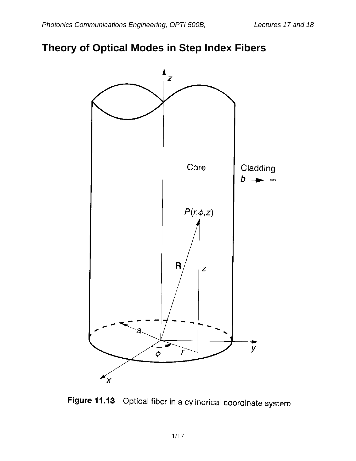### **Theory of Optical Modes in Step Index Fibers**



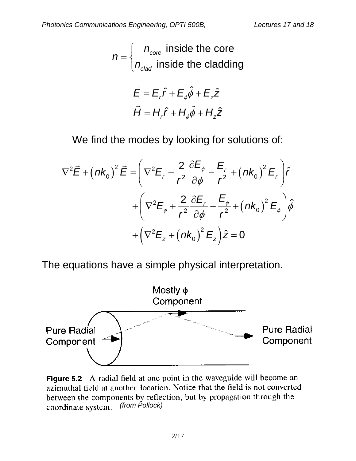$$
n = \begin{cases} n_{\text{core}} & \text{inside the core} \\ n_{\text{clad}} & \text{inside the cladding} \end{cases}
$$

$$
\vec{E} = E_r \hat{r} + E_{\phi} \hat{\phi} + E_z \hat{z}
$$

$$
\vec{H} = H_r \hat{r} + H_{\phi} \hat{\phi} + H_z \hat{z}
$$

We find the modes by looking for solutions of:

$$
\nabla^2 \vec{E} + (nk_0)^2 \vec{E} = \left( \nabla^2 E_r - \frac{2}{r^2} \frac{\partial E_{\phi}}{\partial \phi} - \frac{E_r}{r^2} + (nk_0)^2 E_r \right) \hat{r}
$$

$$
+ \left( \nabla^2 E_{\phi} + \frac{2}{r^2} \frac{\partial E_r}{\partial \phi} - \frac{E_{\phi}}{r^2} + (nk_0)^2 E_{\phi} \right) \hat{\phi}
$$

$$
+ \left( \nabla^2 E_z + (nk_0)^2 E_z \right) \hat{z} = 0
$$

The equations have a simple physical interpretation.



Figure 5.2 A radial field at one point in the waveguide will become an azimuthal field at another location. Notice that the field is not converted between the components by reflection, but by propagation through the *(from Pollock)*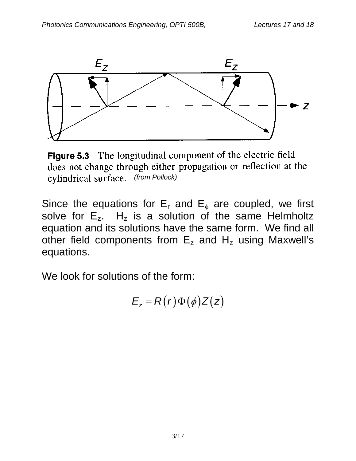

Figure 5.3 The longitudinal component of the electric field does not change through either propagation or reflection at the *(from Pollock)*

Since the equations for  $E_r$  and  $E_{\phi}$  are coupled, we first solve for  $E_z$ . H<sub>z</sub> is a solution of the same Helmholtz equation and its solutions have the same form. We find all other field components from  $E_z$  and  $H_z$  using Maxwell's equations.

We look for solutions of the form:

$$
E_z = R(r)\Phi(\phi)Z(z)
$$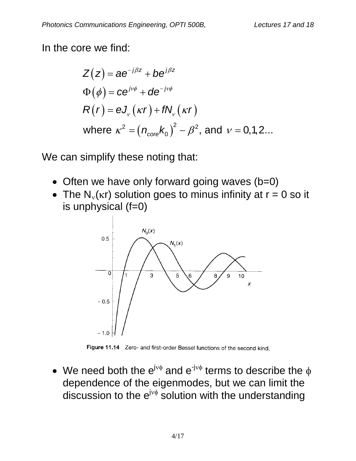In the core we find:

$$
Z(z) = ae^{-j\beta z} + be^{j\beta z}
$$
  
\n
$$
\Phi(\phi) = ce^{j\nu\phi} + de^{-j\nu\phi}
$$
  
\n
$$
R(r) = eJ_{\nu}(kr) + fN_{\nu}(kr)
$$
  
\nwhere  $\kappa^2 = (n_{\text{core}}k_0)^2 - \beta^2$ , and  $\nu = 0,1,2...$ 

We can simplify these noting that:

- Often we have only forward going waves (b=0)
- The  $N_{y}(k)$  solution goes to minus infinity at  $r = 0$  so it is unphysical (f=0)



Figure 11.14 Zero- and first-order Bessel functions of the second kind.

• We need both the  $e^{j \vee \phi}$  and  $e^{-j \vee \phi}$  terms to describe the  $\phi$ dependence of the eigenmodes, but we can limit the discussion to the  $e^{j v \phi}$  solution with the understanding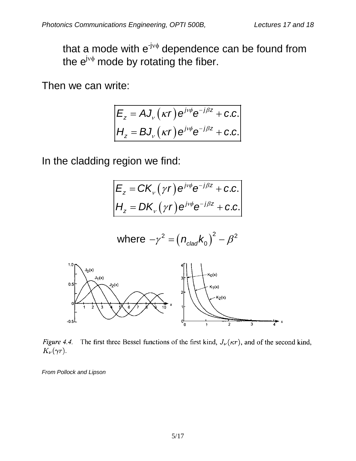that a mode with  $e^{-jv\phi}$  dependence can be found from the  $e^{j v \phi}$  mode by rotating the fiber.

Then we can write:

$$
E_z = A J_v(\kappa r) e^{j\nu\phi} e^{-j\beta z} + c.c.
$$
  
\n
$$
H_z = B J_v(\kappa r) e^{j\nu\phi} e^{-j\beta z} + c.c.
$$

In the cladding region we find:

$$
E_z = CK_v(\gamma r) e^{j\nu\phi} e^{-j\beta z} + c.c.
$$
  
\n
$$
H_z = DK_v(\gamma r) e^{j\nu\phi} e^{-j\beta z} + c.c.
$$

where 
$$
-\gamma^2 = (n_{\text{clad}} k_0)^2 - \beta^2
$$



The first three Bessel functions of the first kind,  $J_{\nu}(\kappa r)$ , and of the second kind, Figure 4.4.  $K_{\nu}(\gamma r)$ .

*From Pollock and Lipson*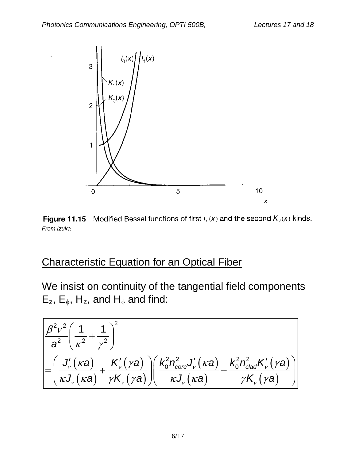

**Figure 11.15** Modified Bessel functions of first  $I_\nu(x)$  and the second  $K_\nu(x)$  kinds. *From Izuka*

### Characteristic Equation for an Optical Fiber

We insist on continuity of the tangential field components  $E_z$ ,  $E_\phi$ , H<sub>z</sub>, and H<sub>φ</sub> and find:

$$
\frac{\beta^{2}v^{2}\left(\frac{1}{\kappa^{2}}+\frac{1}{\gamma^{2}}\right)^{2}}{\alpha^{2}\left(\frac{J'}{\kappa a^{2}}+\frac{1}{\gamma^{2}}\right)^{2}} + \frac{K'_{v}(\gamma a)}{\gamma K_{v}(\gamma a)}\left(\frac{K_{0}^{2}n_{core}^{2}J'_{v}(\kappa a)}{\kappa J_{v}(\kappa a)}+\frac{K_{0}^{2}n_{clad}^{2}K'_{v}(\gamma a)}{\gamma K_{v}(\gamma a)}\right)
$$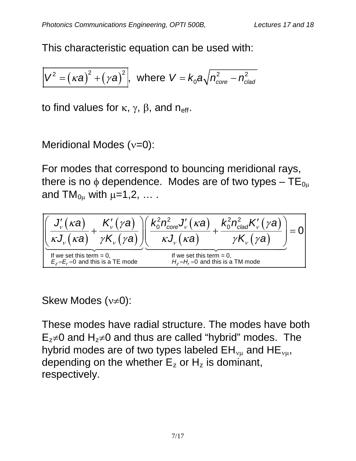This characteristic equation can be used with:

$$
V^2 = (\kappa a)^2 + (\gamma a)^2
$$
, where  $V = k_0 a \sqrt{n_{\text{core}}^2 - n_{\text{clad}}^2}$ 

to find values for  $\kappa$ ,  $\gamma$ ,  $\beta$ , and n<sub>eff</sub>.

Meridional Modes (ν=0):

For modes that correspond to bouncing meridional rays, there is no  $\phi$  dependence. Modes are of two types – TE<sub>0<sup>µ</sub></sup></sub> and  $TM_{0\mu}$  with  $\mu=1,2,\ldots$ .

$$
\left[\underbrace{\frac{J'_{v}(ka)}{\kappa J_{v}(ka)}+\frac{K'_{v}(\gamma a)}{\gamma K_{v}(\gamma a)}\right] \left(\frac{k_{0}^{2}n_{core}^{2}J'_{v}(ka)}{\kappa J_{v}(ka)}+\frac{k_{0}^{2}n_{clad}^{2}K'_{v}(\gamma a)}{\gamma K_{v}(\gamma a)}\right)}_{\text{If we set this term = 0,}}_{\text{E}_{z}=E_{r}=0 \text{ and this is a TE mode}} \frac{k_{0}^{2}n_{clad}^{2}K'_{v}(\gamma a)}{H_{z}=H_{r}=0 \text{ and this is a TM mode}}\right]=0
$$

Skew Modes (ν≠0):

These modes have radial structure. The modes have both  $E_z \neq 0$  and  $H_z \neq 0$  and thus are called "hybrid" modes. The hybrid modes are of two types labeled  $EH_{vu}$  and  $HE_{vu}$ , depending on the whether  $E<sub>z</sub>$  or H<sub>z</sub> is dominant, respectively.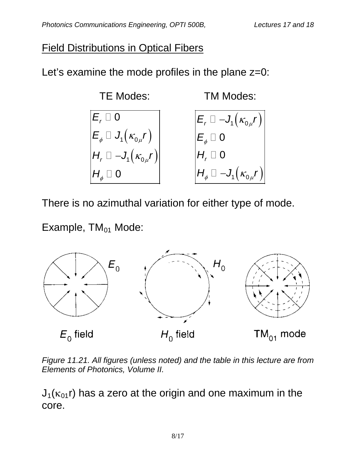### Field Distributions in Optical Fibers

Let's examine the mode profiles in the plane  $z=0$ :



There is no azimuthal variation for either type of mode.

Example,  $TM_{01}$  Mode:



*Figure 11.21. All figures (unless noted) and the table in this lecture are from Elements of Photonics, Volume II.*

 $J_1(\kappa_{01}r)$  has a zero at the origin and one maximum in the core.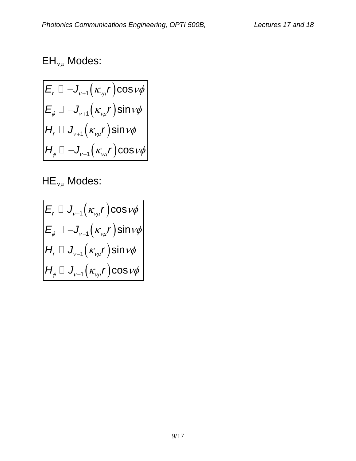# $EH_{\nu\mu}$  Modes:

$$
\begin{aligned}\n& \boxed{E_r \square - J_{\nu+1}(\kappa_{\nu\mu}r)\cos\nu\phi} \\
& \boxed{E_\phi \square - J_{\nu+1}(\kappa_{\nu\mu}r)\sin\nu\phi} \\
& H_r \square J_{\nu+1}(\kappa_{\nu\mu}r)\sin\nu\phi \\
& H_\phi \square - J_{\nu+1}(\kappa_{\nu\mu}r)\cos\nu\phi\n\end{aligned}
$$

 $HE_{v\mu}$  Modes:

$$
\begin{array}{c}\nE_r \Box J_{\nu-1}(\kappa_{\nu\mu}r)\cos\nu\phi \\
E_{\phi} \Box -J_{\nu-1}(\kappa_{\nu\mu}r)\sin\nu\phi \\
H_r \Box J_{\nu-1}(\kappa_{\nu\mu}r)\sin\nu\phi \\
H_{\phi} \Box J_{\nu-1}(\kappa_{\nu\mu}r)\cos\nu\phi\n\end{array}
$$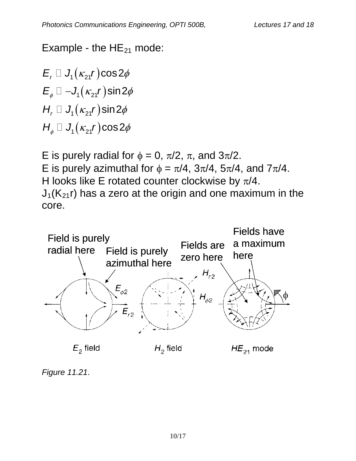Example - the  $HE_{21}$  mode:

 $E_r \square \, J_1(\kappa_{21}r) \cos 2\phi$  $E_{\phi} \Box -J_1(\kappa_{21}r)$ sin 2 $\phi$  $H_r \square J_1(\kappa_{21}r)$ sin 2 $\phi$  $H_{_\phi}\,\square\,$   $J_{_{1}}(\kappa_{_{21}}\!r)$ cos 2 $\phi$ 

E is purely radial for  $\phi = 0$ ,  $\pi/2$ ,  $\pi$ , and  $3\pi/2$ . E is purely azimuthal for  $\phi = \pi/4$ ,  $3\pi/4$ ,  $5\pi/4$ , and  $7\pi/4$ . H looks like E rotated counter clockwise by  $\pi/4$ .  $J_1(K_{21}r)$  has a zero at the origin and one maximum in the core.



*Figure 11.21*.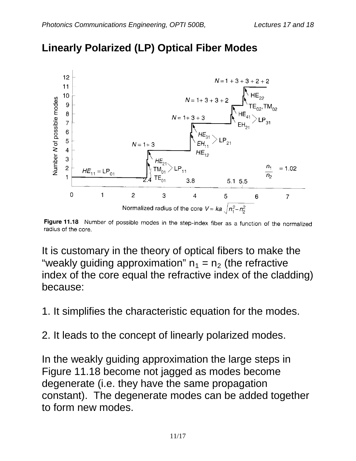

## **Linearly Polarized (LP) Optical Fiber Modes**

Figure 11.18 Number of possible modes in the step-index fiber as a function of the normalized radius of the core.

It is customary in the theory of optical fibers to make the "weakly guiding approximation"  $n_1 = n_2$  (the refractive index of the core equal the refractive index of the cladding) because:

1. It simplifies the characteristic equation for the modes.

2. It leads to the concept of linearly polarized modes.

In the weakly guiding approximation the large steps in Figure 11.18 become not jagged as modes become degenerate (i.e. they have the same propagation constant). The degenerate modes can be added together to form new modes.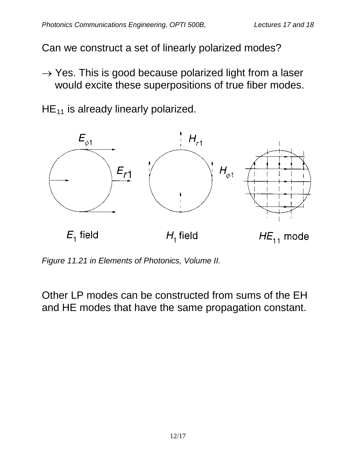Can we construct a set of linearly polarized modes?

 $\rightarrow$  Yes. This is good because polarized light from a laser would excite these superpositions of true fiber modes.

 $HE_{11}$  is already linearly polarized.



*Figure 11.21 in Elements of Photonics, Volume II.*

Other LP modes can be constructed from sums of the EH and HE modes that have the same propagation constant.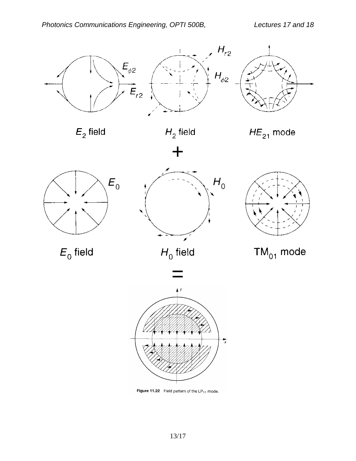

 $E_2$  field











 $E_0$  field

 $H_0$  field

 $TM_{01}$  mode



Figure 11.22 Field pattern of the  $LP_{11}$  mode.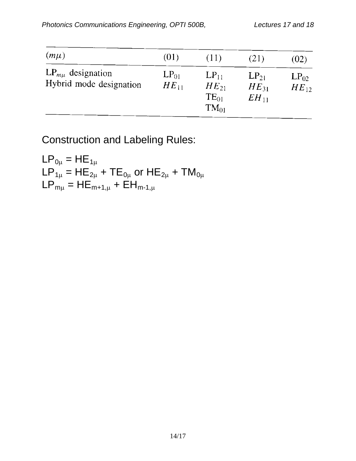$\mathbb{R}^n$  and  $\mathbb{R}^n$ 

| $(m\mu)$                                           | (01)                   | (11)                                             | (21)                                | (02)                   |
|----------------------------------------------------|------------------------|--------------------------------------------------|-------------------------------------|------------------------|
| $LP_{m\mu}$ designation<br>Hybrid mode designation | $LP_{01}$<br>$HE_{11}$ | $LP_{11}$<br>$HE_{21}$<br>$TE_{01}$<br>$TM_{01}$ | $LP_{21}$<br>$HE_{31}$<br>$EH_{11}$ | $LP_{02}$<br>$HE_{12}$ |

Construction and Labeling Rules:

$$
LP_{0\mu} = HE_{1\mu}
$$
  
\n $LP_{1\mu} = HE_{2\mu} + TE_{0\mu}$  or  $HE_{2\mu} + TM_{0\mu}$   
\n $LP_{m\mu} = HE_{m+1,\mu} + EH_{m-1,\mu}$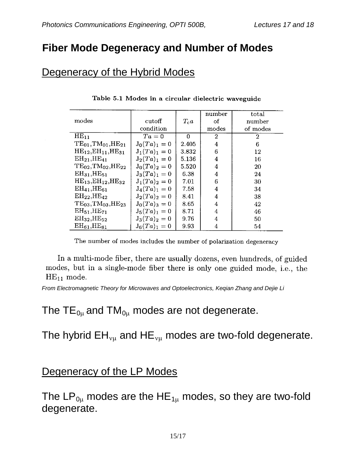### **Fiber Mode Degeneracy and Number of Modes**

### Degeneracy of the Hybrid Modes

|                                     |                 |          | number         | total    |
|-------------------------------------|-----------------|----------|----------------|----------|
|                                     |                 |          |                |          |
| modes                               | cutoff          | $T_{c}a$ | οf             | number   |
|                                     | condition       |          | modes          | of modes |
| $HE_{11}$                           | $Ta=0$          | $\Omega$ | $\overline{2}$ | 2        |
| $TE_{01}$ , $TM_{01}$ , $HE_{21}$   | $J_0(Ta)_1 = 0$ | 2.405    | 4              | 6        |
| $HE_{12},EH_{11},HE_{31}$           | $J_1(Ta)_1 = 0$ | 3.832    | 6              | 12       |
| $EH_{21}$ , $HE_{41}$               | $J_2(Ta)_1 = 0$ | 5.136    | 4              | 16       |
| $TE_{02}$ , $TM_{02}$ , $HE_{22}$   | $J_0(Ta)_2=0$   | 5.520    | 4              | 20       |
| $EH_{31}$ , $HE_{51}$               | $J_3(Ta)_1 = 0$ | 6.38     | 4              | 24       |
| $HE_{13}EH_{12}HE_{32}$             | $J_1(Ta)_2 = 0$ | 7.01     | 6              | 30       |
| $EH_{41}$ , HE <sub>61</sub>        | $J_4(Ta)_1 = 0$ | 7.58     | 4              | 34       |
| $EH_{22}$ , $HE_{42}$               | $J_2(Ta)_2 = 0$ | 8.41     | 4              | 38       |
| $TE_{03}$ , $TM_{03}$ , $HE_{23}$   | $J_0(Ta)_3 = 0$ | 8.65     | 4              | 42       |
| EH <sub>51</sub> , HE <sub>71</sub> | $J_5(Ta)_1 = 0$ | 8.71     | 4              | 46       |
| $EH_{32}$ , $HE_{52}$               | $J_3(Ta)_2=0$   | 9.76     | 4              | 50       |
| $EH_{61}$ , $HE_{81}$               | $J_6(Ta)_1 = 0$ | 9.93     | 4              | 54       |

|  |  |  |  |  |  |  | Table 5.1 Modes in a circular dielectric waveguide |
|--|--|--|--|--|--|--|----------------------------------------------------|
|--|--|--|--|--|--|--|----------------------------------------------------|

The number of modes includes the number of polarization degeneracy

In a multi-mode fiber, there are usually dozens, even hundreds, of guided modes, but in a single-mode fiber there is only one guided mode, i.e., the  $HE_{11}$  mode.

*From Electromagnetic Theory for Microwaves and Optoelectronics, Keqian Zhang and Dejie Li*

### The  $TE_{0\mu}$  and  $TM_{0\mu}$  modes are not degenerate.

The hybrid  $EH_{vu}$  and  $HE_{vu}$  modes are two-fold degenerate.

#### Degeneracy of the LP Modes

The  $LP_{0\mu}$  modes are the HE<sub>1 $\mu$ </sub> modes, so they are two-fold degenerate.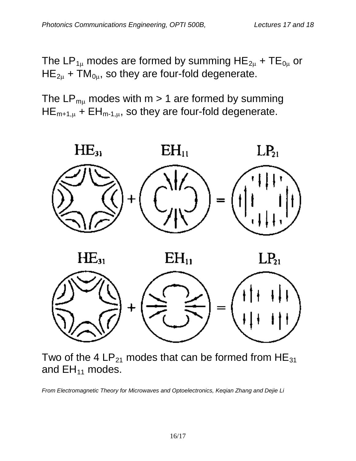The LP<sub>1µ</sub> modes are formed by summing HE<sub>2µ</sub> + TE<sub>0µ</sub> or  $HE_{2\mu}$  + TM<sub>0 $\mu$ </sub>, so they are four-fold degenerate.

The  $LP_{mu}$  modes with  $m > 1$  are formed by summing  $HE_{m+1,\mu}$  +  $EH_{m-1,\mu}$ , so they are four-fold degenerate.



Two of the 4  $LP_{21}$  modes that can be formed from HE<sub>31</sub> and  $EH_{11}$  modes.

*From Electromagnetic Theory for Microwaves and Optoelectronics, Keqian Zhang and Dejie Li*